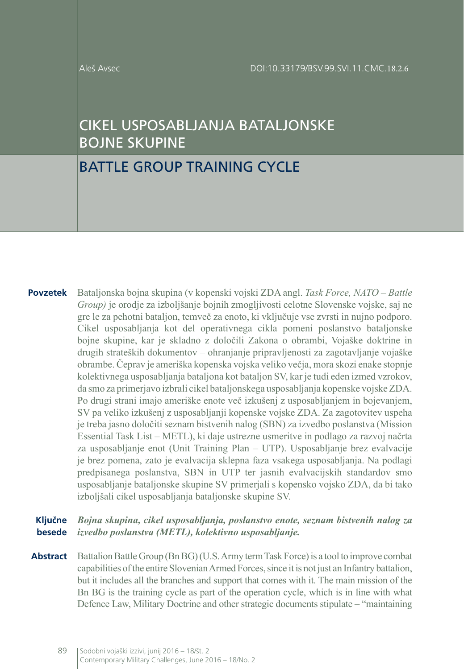#### Aleš Avsec

# CIKEL USPOSABLJANJA BATALJONSKE BOJNE SKUPINE

# BATTLE GROUP TRAINING CYCLE

**Povzetek** Bataljonska bojna skupina (v kopenski vojski ZDA angl. *Task Force, NATO – Battle Group)* je orodje za izboljšanje bojnih zmogljivosti celotne Slovenske vojske, saj ne gre le za pehotni bataljon, temveč za enoto, ki vključuje vse zvrsti in nujno podporo. Cikel usposabljanja kot del operativnega cikla pomeni poslanstvo bataljonske bojne skupine, kar je skladno z določili Zakona o obrambi, Vojaške doktrine in drugih strateških dokumentov – ohranjanje pripravljenosti za zagotavljanje vojaške obrambe. Čeprav je ameriška kopenska vojska veliko večja, mora skozi enake stopnje kolektivnega usposabljanja bataljona kot bataljon SV, kar je tudi eden izmed vzrokov, da smo za primerjavo izbrali cikel bataljonskega usposabljanja kopenske vojske ZDA. Po drugi strani imajo ameriške enote več izkušenj z usposabljanjem in bojevanjem, SV pa veliko izkušenj z usposabljanji kopenske vojske ZDA. Za zagotovitev uspeha je treba jasno določiti seznam bistvenih nalog (SBN) za izvedbo poslanstva (Mission Essential Task List – METL), ki daje ustrezne usmeritve in podlago za razvoj načrta za usposabljanje enot (Unit Training Plan – UTP). Usposabljanje brez evalvacije je brez pomena, zato je evalvacija sklepna faza vsakega usposabljanja. Na podlagi predpisanega poslanstva, SBN in UTP ter jasnih evalvacijskih standardov smo usposabljanje bataljonske skupine SV primerjali s kopensko vojsko ZDA, da bi tako izboljšali cikel usposabljanja bataljonske skupine SV.

#### **Ključne besede** *Bojna skupina, cikel usposabljanja, poslanstvo enote, seznam bistvenih nalog za izvedbo poslanstva (METL), kolektivno usposabljanje.*

**Abstract** Battalion Battle Group (Bn BG) (U.S. Army term Task Force) is a tool to improve combat capabilities of the entire Slovenian Armed Forces, since it is not just an Infantry battalion, but it includes all the branches and support that comes with it. The main mission of the Bn BG is the training cycle as part of the operation cycle, which is in line with what Defence Law, Military Doctrine and other strategic documents stipulate – "maintaining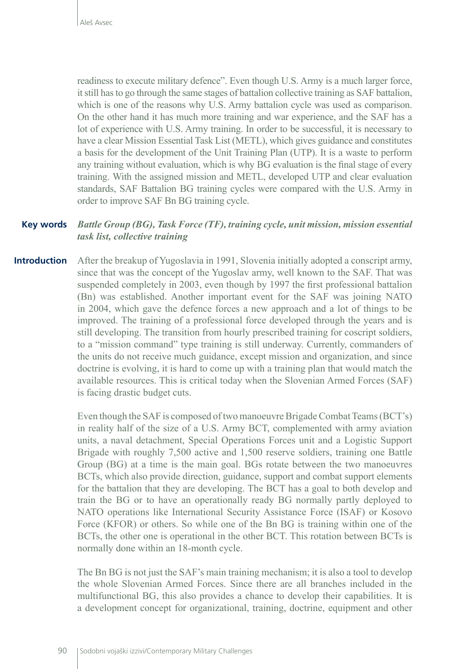readiness to execute military defence". Even though U.S. Army is a much larger force, it still has to go through the same stages of battalion collective training as SAF battalion, which is one of the reasons why U.S. Army battalion cycle was used as comparison. On the other hand it has much more training and war experience, and the SAF has a lot of experience with U.S. Army training. In order to be successful, it is necessary to have a clear Mission Essential Task List (METL), which gives guidance and constitutes a basis for the development of the Unit Training Plan (UTP). It is a waste to perform any training without evaluation, which is why BG evaluation is the final stage of every training. With the assigned mission and METL, developed UTP and clear evaluation standards, SAF Battalion BG training cycles were compared with the U.S. Army in order to improve SAF Bn BG training cycle.

#### **Key words** *Battle Group (BG), Task Force (TF), training cycle, unit mission, mission essential task list, collective training*

**Introduction** After the breakup of Yugoslavia in 1991, Slovenia initially adopted a conscript army, since that was the concept of the Yugoslav army, well known to the SAF. That was suspended completely in 2003, even though by 1997 the first professional battalion (Bn) was established. Another important event for the SAF was joining NATO in 2004, which gave the defence forces a new approach and a lot of things to be improved. The training of a professional force developed through the years and is still developing. The transition from hourly prescribed training for coscript soldiers, to a "mission command" type training is still underway. Currently, commanders of the units do not receive much guidance, except mission and organization, and since doctrine is evolving, it is hard to come up with a training plan that would match the available resources. This is critical today when the Slovenian Armed Forces (SAF) is facing drastic budget cuts.

> Even though the SAF is composed of two manoeuvre Brigade Combat Teams (BCT's) in reality half of the size of a U.S. Army BCT, complemented with army aviation units, a naval detachment, Special Operations Forces unit and a Logistic Support Brigade with roughly 7,500 active and 1,500 reserve soldiers, training one Battle Group (BG) at a time is the main goal. BGs rotate between the two manoeuvres BCTs, which also provide direction, guidance, support and combat support elements for the battalion that they are developing. The BCT has a goal to both develop and train the BG or to have an operationally ready BG normally partly deployed to NATO operations like International Security Assistance Force (ISAF) or Kosovo Force (KFOR) or others. So while one of the Bn BG is training within one of the BCTs, the other one is operational in the other BCT. This rotation between BCTs is normally done within an 18-month cycle.

> The Bn BG is not just the SAF's main training mechanism; it is also a tool to develop the whole Slovenian Armed Forces. Since there are all branches included in the multifunctional BG, this also provides a chance to develop their capabilities. It is a development concept for organizational, training, doctrine, equipment and other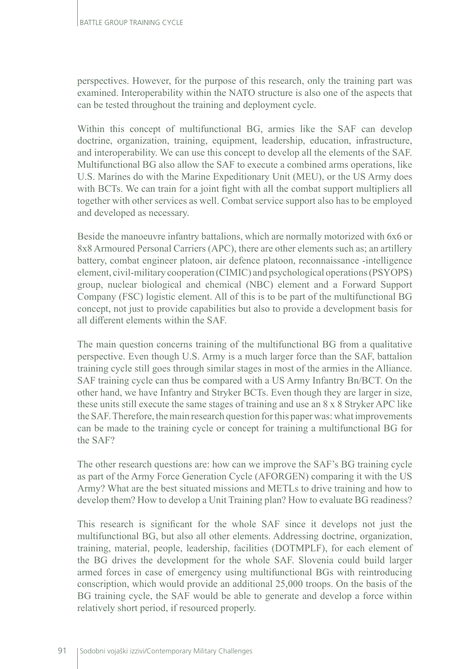perspectives. However, for the purpose of this research, only the training part was examined. Interoperability within the NATO structure is also one of the aspects that can be tested throughout the training and deployment cycle.

Within this concept of multifunctional BG, armies like the SAF can develop doctrine, organization, training, equipment, leadership, education, infrastructure, and interoperability. We can use this concept to develop all the elements of the SAF. Multifunctional BG also allow the SAF to execute a combined arms operations, like U.S. Marines do with the Marine Expeditionary Unit (MEU), or the US Army does with BCTs. We can train for a joint fight with all the combat support multipliers all together with other services as well. Combat service support also has to be employed and developed as necessary.

Beside the manoeuvre infantry battalions, which are normally motorized with 6x6 or 8x8 Armoured Personal Carriers (APC), there are other elements such as; an artillery battery, combat engineer platoon, air defence platoon, reconnaissance -intelligence element, civil-military cooperation (CIMIC) and psychological operations (PSYOPS) group, nuclear biological and chemical (NBC) element and a Forward Support Company (FSC) logistic element. All of this is to be part of the multifunctional BG concept, not just to provide capabilities but also to provide a development basis for all different elements within the SAF.

The main question concerns training of the multifunctional BG from a qualitative perspective. Even though U.S. Army is a much larger force than the SAF, battalion training cycle still goes through similar stages in most of the armies in the Alliance. SAF training cycle can thus be compared with a US Army Infantry Bn/BCT. On the other hand, we have Infantry and Stryker BCTs. Even though they are larger in size, these units still execute the same stages of training and use an 8 x 8 Stryker APC like the SAF. Therefore, the main research question for this paper was: what improvements can be made to the training cycle or concept for training a multifunctional BG for the SAF?

The other research questions are: how can we improve the SAF's BG training cycle as part of the Army Force Generation Cycle (AFORGEN) comparing it with the US Army? What are the best situated missions and METLs to drive training and how to develop them? How to develop a Unit Training plan? How to evaluate BG readiness?

This research is significant for the whole SAF since it develops not just the multifunctional BG, but also all other elements. Addressing doctrine, organization, training, material, people, leadership, facilities (DOTMPLF), for each element of the BG drives the development for the whole SAF. Slovenia could build larger armed forces in case of emergency using multifunctional BGs with reintroducing conscription, which would provide an additional 25,000 troops. On the basis of the BG training cycle, the SAF would be able to generate and develop a force within relatively short period, if resourced properly.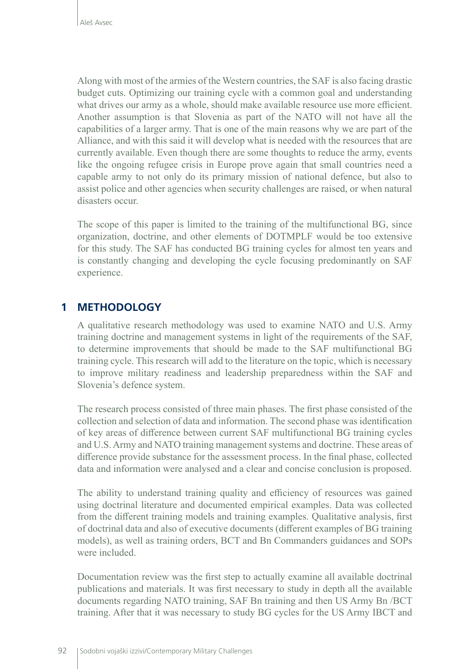Along with most of the armies of the Western countries, the SAF is also facing drastic budget cuts. Optimizing our training cycle with a common goal and understanding what drives our army as a whole, should make available resource use more efficient. Another assumption is that Slovenia as part of the NATO will not have all the capabilities of a larger army. That is one of the main reasons why we are part of the Alliance, and with this said it will develop what is needed with the resources that are currently available. Even though there are some thoughts to reduce the army, events like the ongoing refugee crisis in Europe prove again that small countries need a capable army to not only do its primary mission of national defence, but also to assist police and other agencies when security challenges are raised, or when natural disasters occur.

The scope of this paper is limited to the training of the multifunctional BG, since organization, doctrine, and other elements of DOTMPLF would be too extensive for this study. The SAF has conducted BG training cycles for almost ten years and is constantly changing and developing the cycle focusing predominantly on SAF experience.

# **1 METHODOLOGY**

A qualitative research methodology was used to examine NATO and U.S. Army training doctrine and management systems in light of the requirements of the SAF, to determine improvements that should be made to the SAF multifunctional BG training cycle. This research will add to the literature on the topic, which is necessary to improve military readiness and leadership preparedness within the SAF and Slovenia's defence system.

The research process consisted of three main phases. The first phase consisted of the collection and selection of data and information. The second phase was identification of key areas of difference between current SAF multifunctional BG training cycles and U.S. Army and NATO training management systems and doctrine. These areas of difference provide substance for the assessment process. In the final phase, collected data and information were analysed and a clear and concise conclusion is proposed.

The ability to understand training quality and efficiency of resources was gained using doctrinal literature and documented empirical examples. Data was collected from the different training models and training examples. Qualitative analysis, first of doctrinal data and also of executive documents (different examples of BG training models), as well as training orders, BCT and Bn Commanders guidances and SOPs were included.

Documentation review was the first step to actually examine all available doctrinal publications and materials. It was first necessary to study in depth all the available documents regarding NATO training, SAF Bn training and then US Army Bn /BCT training. After that it was necessary to study BG cycles for the US Army IBCT and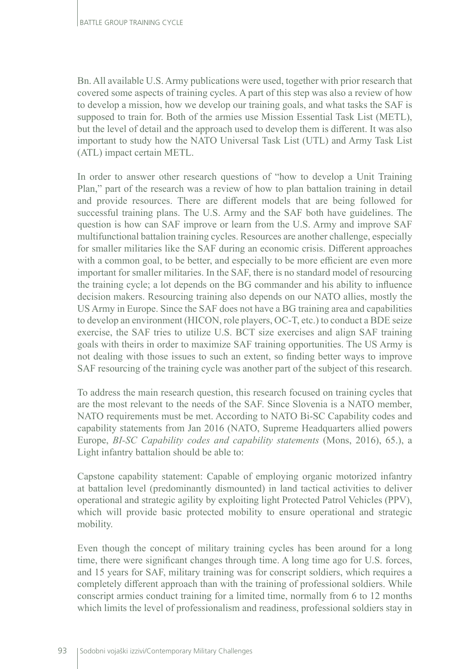Bn. All available U.S. Army publications were used, together with prior research that covered some aspects of training cycles. A part of this step was also a review of how to develop a mission, how we develop our training goals, and what tasks the SAF is supposed to train for. Both of the armies use Mission Essential Task List (METL), but the level of detail and the approach used to develop them is different. It was also important to study how the NATO Universal Task List (UTL) and Army Task List (ATL) impact certain METL.

In order to answer other research questions of "how to develop a Unit Training Plan," part of the research was a review of how to plan battalion training in detail and provide resources. There are different models that are being followed for successful training plans. The U.S. Army and the SAF both have guidelines. The question is how can SAF improve or learn from the U.S. Army and improve SAF multifunctional battalion training cycles. Resources are another challenge, especially for smaller militaries like the SAF during an economic crisis. Different approaches with a common goal, to be better, and especially to be more efficient are even more important for smaller militaries. In the SAF, there is no standard model of resourcing the training cycle; a lot depends on the BG commander and his ability to influence decision makers. Resourcing training also depends on our NATO allies, mostly the US Army in Europe. Since the SAF does not have a BG training area and capabilities to develop an environment (HICON, role players, OC-T, etc.) to conduct a BDE seize exercise, the SAF tries to utilize U.S. BCT size exercises and align SAF training goals with theirs in order to maximize SAF training opportunities. The US Army is not dealing with those issues to such an extent, so finding better ways to improve SAF resourcing of the training cycle was another part of the subject of this research.

To address the main research question, this research focused on training cycles that are the most relevant to the needs of the SAF. Since Slovenia is a NATO member, NATO requirements must be met. According to NATO Bi-SC Capability codes and capability statements from Jan 2016 (NATO, Supreme Headquarters allied powers Europe, *BI-SC Capability codes and capability statements* (Mons, 2016), 65.), a Light infantry battalion should be able to:

Capstone capability statement: Capable of employing organic motorized infantry at battalion level (predominantly dismounted) in land tactical activities to deliver operational and strategic agility by exploiting light Protected Patrol Vehicles (PPV), which will provide basic protected mobility to ensure operational and strategic mobility.

Even though the concept of military training cycles has been around for a long time, there were significant changes through time. A long time ago for U.S. forces, and 15 years for SAF, military training was for conscript soldiers, which requires a completely different approach than with the training of professional soldiers. While conscript armies conduct training for a limited time, normally from 6 to 12 months which limits the level of professionalism and readiness, professional soldiers stay in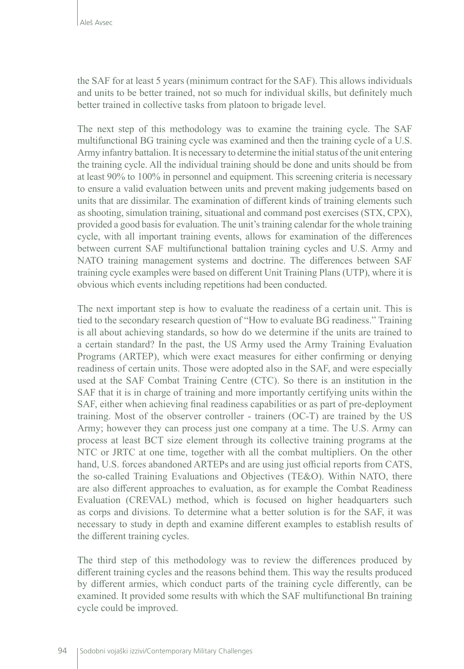the SAF for at least 5 years (minimum contract for the SAF). This allows individuals and units to be better trained, not so much for individual skills, but definitely much better trained in collective tasks from platoon to brigade level.

The next step of this methodology was to examine the training cycle. The SAF multifunctional BG training cycle was examined and then the training cycle of a U.S. Army infantry battalion. It is necessary to determine the initial status of the unit entering the training cycle. All the individual training should be done and units should be from at least 90% to 100% in personnel and equipment. This screening criteria is necessary to ensure a valid evaluation between units and prevent making judgements based on units that are dissimilar. The examination of different kinds of training elements such as shooting, simulation training, situational and command post exercises (STX, CPX), provided a good basis for evaluation. The unit's training calendar for the whole training cycle, with all important training events, allows for examination of the differences between current SAF multifunctional battalion training cycles and U.S. Army and NATO training management systems and doctrine. The differences between SAF training cycle examples were based on different Unit Training Plans (UTP), where it is obvious which events including repetitions had been conducted.

The next important step is how to evaluate the readiness of a certain unit. This is tied to the secondary research question of "How to evaluate BG readiness." Training is all about achieving standards, so how do we determine if the units are trained to a certain standard? In the past, the US Army used the Army Training Evaluation Programs (ARTEP), which were exact measures for either confirming or denying readiness of certain units. Those were adopted also in the SAF, and were especially used at the SAF Combat Training Centre (CTC). So there is an institution in the SAF that it is in charge of training and more importantly certifying units within the SAF, either when achieving final readiness capabilities or as part of pre-deployment training. Most of the observer controller - trainers (OC-T) are trained by the US Army; however they can process just one company at a time. The U.S. Army can process at least BCT size element through its collective training programs at the NTC or JRTC at one time, together with all the combat multipliers. On the other hand, U.S. forces abandoned ARTEPs and are using just official reports from CATS, the so-called Training Evaluations and Objectives (TE&O). Within NATO, there are also different approaches to evaluation, as for example the Combat Readiness Evaluation (CREVAL) method, which is focused on higher headquarters such as corps and divisions. To determine what a better solution is for the SAF, it was necessary to study in depth and examine different examples to establish results of the different training cycles.

The third step of this methodology was to review the differences produced by different training cycles and the reasons behind them. This way the results produced by different armies, which conduct parts of the training cycle differently, can be examined. It provided some results with which the SAF multifunctional Bn training cycle could be improved.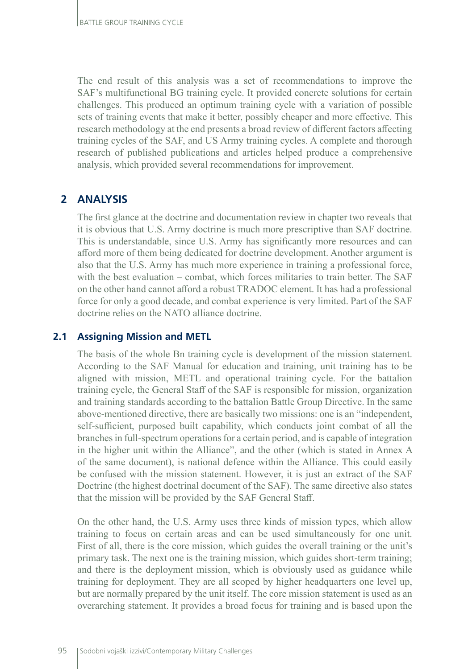The end result of this analysis was a set of recommendations to improve the SAF's multifunctional BG training cycle. It provided concrete solutions for certain challenges. This produced an optimum training cycle with a variation of possible sets of training events that make it better, possibly cheaper and more effective. This research methodology at the end presents a broad review of different factors affecting training cycles of the SAF, and US Army training cycles. A complete and thorough research of published publications and articles helped produce a comprehensive analysis, which provided several recommendations for improvement.

# **2 ANALYSIS**

The first glance at the doctrine and documentation review in chapter two reveals that it is obvious that U.S. Army doctrine is much more prescriptive than SAF doctrine. This is understandable, since U.S. Army has significantly more resources and can afford more of them being dedicated for doctrine development. Another argument is also that the U.S. Army has much more experience in training a professional force, with the best evaluation – combat, which forces militaries to train better. The SAF on the other hand cannot afford a robust TRADOC element. It has had a professional force for only a good decade, and combat experience is very limited. Part of the SAF doctrine relies on the NATO alliance doctrine.

## **2.1 Assigning Mission and METL**

The basis of the whole Bn training cycle is development of the mission statement. According to the SAF Manual for education and training, unit training has to be aligned with mission, METL and operational training cycle. For the battalion training cycle, the General Staff of the SAF is responsible for mission, organization and training standards according to the battalion Battle Group Directive. In the same above-mentioned directive, there are basically two missions: one is an "independent, self-sufficient, purposed built capability, which conducts joint combat of all the branches in full-spectrum operations for a certain period, and is capable of integration in the higher unit within the Alliance", and the other (which is stated in Annex A of the same document), is national defence within the Alliance. This could easily be confused with the mission statement. However, it is just an extract of the SAF Doctrine (the highest doctrinal document of the SAF). The same directive also states that the mission will be provided by the SAF General Staff.

On the other hand, the U.S. Army uses three kinds of mission types, which allow training to focus on certain areas and can be used simultaneously for one unit. First of all, there is the core mission, which guides the overall training or the unit's primary task. The next one is the training mission, which guides short-term training; and there is the deployment mission, which is obviously used as guidance while training for deployment. They are all scoped by higher headquarters one level up, but are normally prepared by the unit itself. The core mission statement is used as an overarching statement. It provides a broad focus for training and is based upon the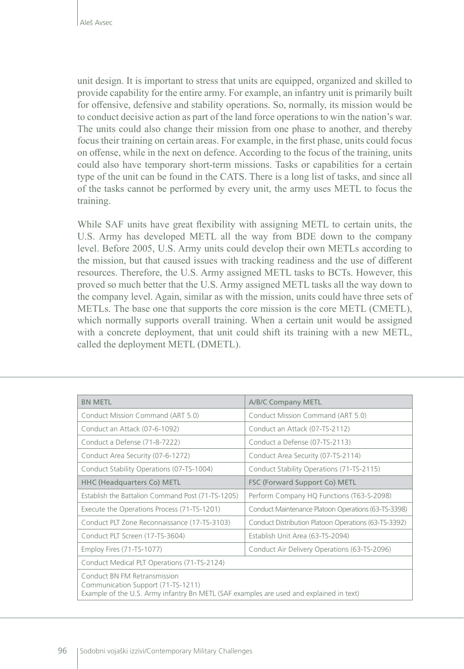unit design. It is important to stress that units are equipped, organized and skilled to provide capability for the entire army. For example, an infantry unit is primarily built for offensive, defensive and stability operations. So, normally, its mission would be to conduct decisive action as part of the land force operations to win the nation's war. The units could also change their mission from one phase to another, and thereby focus their training on certain areas. For example, in the first phase, units could focus on offense, while in the next on defence. According to the focus of the training, units could also have temporary short-term missions. Tasks or capabilities for a certain type of the unit can be found in the CATS. There is a long list of tasks, and since all of the tasks cannot be performed by every unit, the army uses METL to focus the training.

While SAF units have great flexibility with assigning METL to certain units, the U.S. Army has developed METL all the way from BDE down to the company level. Before 2005, U.S. Army units could develop their own METLs according to the mission, but that caused issues with tracking readiness and the use of different resources. Therefore, the U.S. Army assigned METL tasks to BCTs. However, this proved so much better that the U.S. Army assigned METL tasks all the way down to the company level. Again, similar as with the mission, units could have three sets of METLs. The base one that supports the core mission is the core METL (CMETL), which normally supports overall training. When a certain unit would be assigned with a concrete deployment, that unit could shift its training with a new METL, called the deployment METL (DMETL).

| <b>BN METL</b>                                                                                                                                                | A/B/C Company METL                                   |
|---------------------------------------------------------------------------------------------------------------------------------------------------------------|------------------------------------------------------|
| Conduct Mission Command (ART 5.0)                                                                                                                             | Conduct Mission Command (ART 5.0)                    |
| Conduct an Attack (07-6-1092)                                                                                                                                 | Conduct an Attack (07-TS-2112)                       |
| Conduct a Defense (71-8-7222)                                                                                                                                 | Conduct a Defense (07-TS-2113)                       |
| Conduct Area Security (07-6-1272)                                                                                                                             | Conduct Area Security (07-TS-2114)                   |
| Conduct Stability Operations (07-TS-1004)                                                                                                                     | Conduct Stability Operations (71-TS-2115)            |
| <b>HHC (Headquarters Co) METL</b>                                                                                                                             | FSC (Forward Support Co) METL                        |
| Establish the Battalion Command Post (71-TS-1205)                                                                                                             | Perform Company HQ Functions (T63-S-2098)            |
| Execute the Operations Process (71-TS-1201)                                                                                                                   | Conduct Maintenance Platoon Operations (63-TS-3398)  |
| Conduct PLT Zone Reconnaissance (17-TS-3103)                                                                                                                  | Conduct Distribution Platoon Operations (63-TS-3392) |
| Conduct PLT Screen (17-TS-3604)                                                                                                                               | Establish Unit Area (63-TS-2094)                     |
| Employ Fires (71-TS-1077)                                                                                                                                     | Conduct Air Delivery Operations (63-TS-2096)         |
| Conduct Medical PLT Operations (71-TS-2124)                                                                                                                   |                                                      |
| Conduct BN FM Retransmission<br>Communication Support (71-TS-1211)<br>Example of the U.S. Army infantry Bn METL (SAF examples are used and explained in text) |                                                      |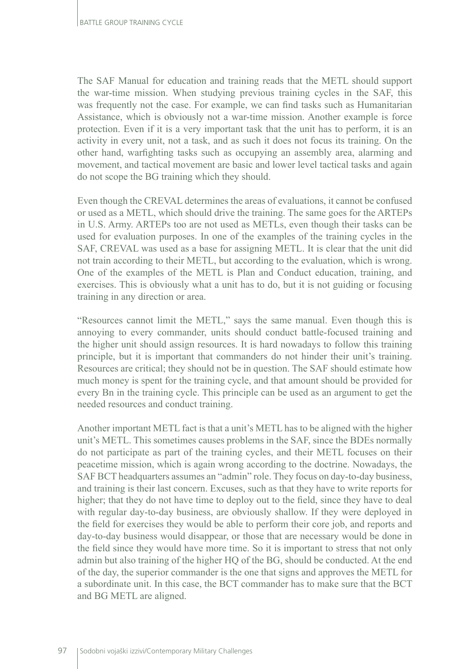The SAF Manual for education and training reads that the METL should support the war-time mission. When studying previous training cycles in the SAF, this was frequently not the case. For example, we can find tasks such as Humanitarian Assistance, which is obviously not a war-time mission. Another example is force protection. Even if it is a very important task that the unit has to perform, it is an activity in every unit, not a task, and as such it does not focus its training. On the other hand, warfighting tasks such as occupying an assembly area, alarming and movement, and tactical movement are basic and lower level tactical tasks and again do not scope the BG training which they should.

Even though the CREVAL determines the areas of evaluations, it cannot be confused or used as a METL, which should drive the training. The same goes for the ARTEPs in U.S. Army. ARTEPs too are not used as METLs, even though their tasks can be used for evaluation purposes. In one of the examples of the training cycles in the SAF, CREVAL was used as a base for assigning METL. It is clear that the unit did not train according to their METL, but according to the evaluation, which is wrong. One of the examples of the METL is Plan and Conduct education, training, and exercises. This is obviously what a unit has to do, but it is not guiding or focusing training in any direction or area.

"Resources cannot limit the METL," says the same manual. Even though this is annoying to every commander, units should conduct battle-focused training and the higher unit should assign resources. It is hard nowadays to follow this training principle, but it is important that commanders do not hinder their unit's training. Resources are critical; they should not be in question. The SAF should estimate how much money is spent for the training cycle, and that amount should be provided for every Bn in the training cycle. This principle can be used as an argument to get the needed resources and conduct training.

Another important METL fact is that a unit's METL has to be aligned with the higher unit's METL. This sometimes causes problems in the SAF, since the BDEs normally do not participate as part of the training cycles, and their METL focuses on their peacetime mission, which is again wrong according to the doctrine. Nowadays, the SAF BCT headquarters assumes an "admin" role. They focus on day-to-day business, and training is their last concern. Excuses, such as that they have to write reports for higher; that they do not have time to deploy out to the field, since they have to deal with regular day-to-day business, are obviously shallow. If they were deployed in the field for exercises they would be able to perform their core job, and reports and day-to-day business would disappear, or those that are necessary would be done in the field since they would have more time. So it is important to stress that not only admin but also training of the higher HQ of the BG, should be conducted. At the end of the day, the superior commander is the one that signs and approves the METL for a subordinate unit. In this case, the BCT commander has to make sure that the BCT and BG METL are aligned.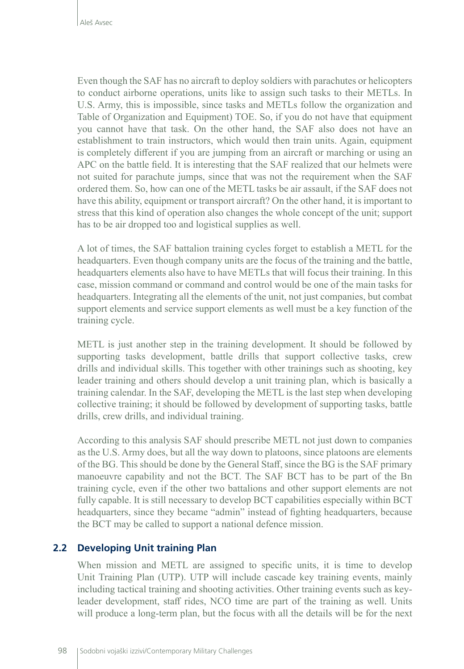Even though the SAF has no aircraft to deploy soldiers with parachutes or helicopters to conduct airborne operations, units like to assign such tasks to their METLs. In U.S. Army, this is impossible, since tasks and METLs follow the organization and Table of Organization and Equipment) TOE. So, if you do not have that equipment you cannot have that task. On the other hand, the SAF also does not have an establishment to train instructors, which would then train units. Again, equipment is completely different if you are jumping from an aircraft or marching or using an APC on the battle field. It is interesting that the SAF realized that our helmets were not suited for parachute jumps, since that was not the requirement when the SAF ordered them. So, how can one of the METL tasks be air assault, if the SAF does not have this ability, equipment or transport aircraft? On the other hand, it is important to stress that this kind of operation also changes the whole concept of the unit; support has to be air dropped too and logistical supplies as well.

A lot of times, the SAF battalion training cycles forget to establish a METL for the headquarters. Even though company units are the focus of the training and the battle, headquarters elements also have to have METLs that will focus their training. In this case, mission command or command and control would be one of the main tasks for headquarters. Integrating all the elements of the unit, not just companies, but combat support elements and service support elements as well must be a key function of the training cycle.

METL is just another step in the training development. It should be followed by supporting tasks development, battle drills that support collective tasks, crew drills and individual skills. This together with other trainings such as shooting, key leader training and others should develop a unit training plan, which is basically a training calendar. In the SAF, developing the METL is the last step when developing collective training; it should be followed by development of supporting tasks, battle drills, crew drills, and individual training.

According to this analysis SAF should prescribe METL not just down to companies as the U.S. Army does, but all the way down to platoons, since platoons are elements of the BG. This should be done by the General Staff, since the BG is the SAF primary manoeuvre capability and not the BCT. The SAF BCT has to be part of the Bn training cycle, even if the other two battalions and other support elements are not fully capable. It is still necessary to develop BCT capabilities especially within BCT headquarters, since they became "admin" instead of fighting headquarters, because the BCT may be called to support a national defence mission.

## **2.2 Developing Unit training Plan**

When mission and METL are assigned to specific units, it is time to develop Unit Training Plan (UTP). UTP will include cascade key training events, mainly including tactical training and shooting activities. Other training events such as keyleader development, staff rides, NCO time are part of the training as well. Units will produce a long-term plan, but the focus with all the details will be for the next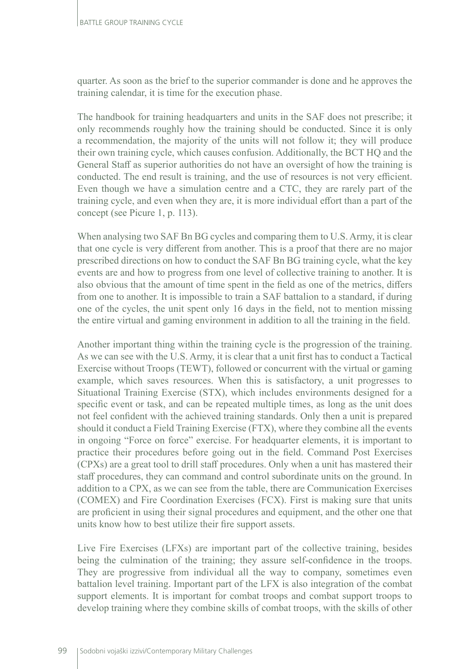quarter. As soon as the brief to the superior commander is done and he approves the training calendar, it is time for the execution phase.

The handbook for training headquarters and units in the SAF does not prescribe; it only recommends roughly how the training should be conducted. Since it is only a recommendation, the majority of the units will not follow it; they will produce their own training cycle, which causes confusion. Additionally, the BCT HQ and the General Staff as superior authorities do not have an oversight of how the training is conducted. The end result is training, and the use of resources is not very efficient. Even though we have a simulation centre and a CTC, they are rarely part of the training cycle, and even when they are, it is more individual effort than a part of the concept (see Picure 1, p. 113).

When analysing two SAF Bn BG cycles and comparing them to U.S. Army, it is clear that one cycle is very different from another. This is a proof that there are no major prescribed directions on how to conduct the SAF Bn BG training cycle, what the key events are and how to progress from one level of collective training to another. It is also obvious that the amount of time spent in the field as one of the metrics, differs from one to another. It is impossible to train a SAF battalion to a standard, if during one of the cycles, the unit spent only 16 days in the field, not to mention missing the entire virtual and gaming environment in addition to all the training in the field.

Another important thing within the training cycle is the progression of the training. As we can see with the U.S. Army, it is clear that a unit first has to conduct a Tactical Exercise without Troops (TEWT), followed or concurrent with the virtual or gaming example, which saves resources. When this is satisfactory, a unit progresses to Situational Training Exercise (STX), which includes environments designed for a specific event or task, and can be repeated multiple times, as long as the unit does not feel confident with the achieved training standards. Only then a unit is prepared should it conduct a Field Training Exercise (FTX), where they combine all the events in ongoing "Force on force" exercise. For headquarter elements, it is important to practice their procedures before going out in the field. Command Post Exercises (CPXs) are a great tool to drill staff procedures. Only when a unit has mastered their staff procedures, they can command and control subordinate units on the ground. In addition to a CPX, as we can see from the table, there are Communication Exercises (COMEX) and Fire Coordination Exercises (FCX). First is making sure that units are proficient in using their signal procedures and equipment, and the other one that units know how to best utilize their fire support assets.

Live Fire Exercises (LFXs) are important part of the collective training, besides being the culmination of the training; they assure self-confidence in the troops. They are progressive from individual all the way to company, sometimes even battalion level training. Important part of the LFX is also integration of the combat support elements. It is important for combat troops and combat support troops to develop training where they combine skills of combat troops, with the skills of other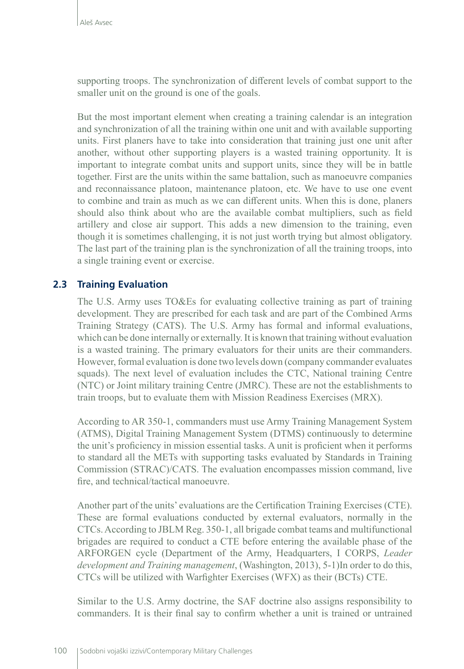supporting troops. The synchronization of different levels of combat support to the smaller unit on the ground is one of the goals.

But the most important element when creating a training calendar is an integration and synchronization of all the training within one unit and with available supporting units. First planers have to take into consideration that training just one unit after another, without other supporting players is a wasted training opportunity. It is important to integrate combat units and support units, since they will be in battle together. First are the units within the same battalion, such as manoeuvre companies and reconnaissance platoon, maintenance platoon, etc. We have to use one event to combine and train as much as we can different units. When this is done, planers should also think about who are the available combat multipliers, such as field artillery and close air support. This adds a new dimension to the training, even though it is sometimes challenging, it is not just worth trying but almost obligatory. The last part of the training plan is the synchronization of all the training troops, into a single training event or exercise.

## **2.3 Training Evaluation**

The U.S. Army uses TO&Es for evaluating collective training as part of training development. They are prescribed for each task and are part of the Combined Arms Training Strategy (CATS). The U.S. Army has formal and informal evaluations, which can be done internally or externally. It is known that training without evaluation is a wasted training. The primary evaluators for their units are their commanders. However, formal evaluation is done two levels down (company commander evaluates squads). The next level of evaluation includes the CTC, National training Centre (NTC) or Joint military training Centre (JMRC). These are not the establishments to train troops, but to evaluate them with Mission Readiness Exercises (MRX).

According to AR 350-1, commanders must use Army Training Management System (ATMS), Digital Training Management System (DTMS) continuously to determine the unit's proficiency in mission essential tasks. A unit is proficient when it performs to standard all the METs with supporting tasks evaluated by Standards in Training Commission (STRAC)/CATS. The evaluation encompasses mission command, live fire, and technical/tactical manoeuvre.

Another part of the units' evaluations are the Certification Training Exercises (CTE). These are formal evaluations conducted by external evaluators, normally in the CTCs. According to JBLM Reg. 350-1, all brigade combat teams and multifunctional brigades are required to conduct a CTE before entering the available phase of the ARFORGEN cycle (Department of the Army, Headquarters, I CORPS, *Leader development and Training management*, (Washington, 2013), 5-1)In order to do this, CTCs will be utilized with Warfighter Exercises (WFX) as their (BCTs) CTE.

Similar to the U.S. Army doctrine, the SAF doctrine also assigns responsibility to commanders. It is their final say to confirm whether a unit is trained or untrained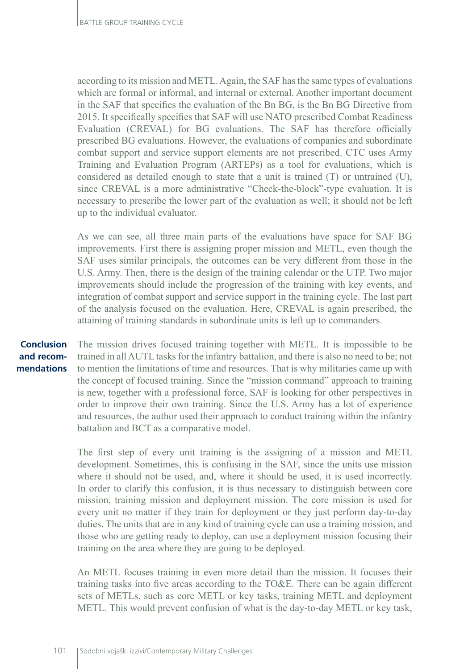according to its mission and METL. Again, the SAF has the same types of evaluations which are formal or informal, and internal or external. Another important document in the SAF that specifies the evaluation of the Bn BG, is the Bn BG Directive from 2015. It specifically specifies that SAF will use NATO prescribed Combat Readiness Evaluation (CREVAL) for BG evaluations. The SAF has therefore officially prescribed BG evaluations. However, the evaluations of companies and subordinate combat support and service support elements are not prescribed. CTC uses Army Training and Evaluation Program (ARTEPs) as a tool for evaluations, which is considered as detailed enough to state that a unit is trained (T) or untrained (U), since CREVAL is a more administrative "Check-the-block"-type evaluation. It is necessary to prescribe the lower part of the evaluation as well; it should not be left up to the individual evaluator.

As we can see, all three main parts of the evaluations have space for SAF BG improvements. First there is assigning proper mission and METL, even though the SAF uses similar principals, the outcomes can be very different from those in the U.S. Army. Then, there is the design of the training calendar or the UTP. Two major improvements should include the progression of the training with key events, and integration of combat support and service support in the training cycle. The last part of the analysis focused on the evaluation. Here, CREVAL is again prescribed, the attaining of training standards in subordinate units is left up to commanders.

## **Conclusion and recommendations**

The mission drives focused training together with METL. It is impossible to be trained in all AUTL tasks for the infantry battalion, and there is also no need to be; not to mention the limitations of time and resources. That is why militaries came up with the concept of focused training. Since the "mission command" approach to training is new, together with a professional force, SAF is looking for other perspectives in order to improve their own training. Since the U.S. Army has a lot of experience and resources, the author used their approach to conduct training within the infantry battalion and BCT as a comparative model.

The first step of every unit training is the assigning of a mission and METL development. Sometimes, this is confusing in the SAF, since the units use mission where it should not be used, and, where it should be used, it is used incorrectly. In order to clarify this confusion, it is thus necessary to distinguish between core mission, training mission and deployment mission. The core mission is used for every unit no matter if they train for deployment or they just perform day-to-day duties. The units that are in any kind of training cycle can use a training mission, and those who are getting ready to deploy, can use a deployment mission focusing their training on the area where they are going to be deployed.

An METL focuses training in even more detail than the mission. It focuses their training tasks into five areas according to the TO&E. There can be again different sets of METLs, such as core METL or key tasks, training METL and deployment METL. This would prevent confusion of what is the day-to-day METL or key task,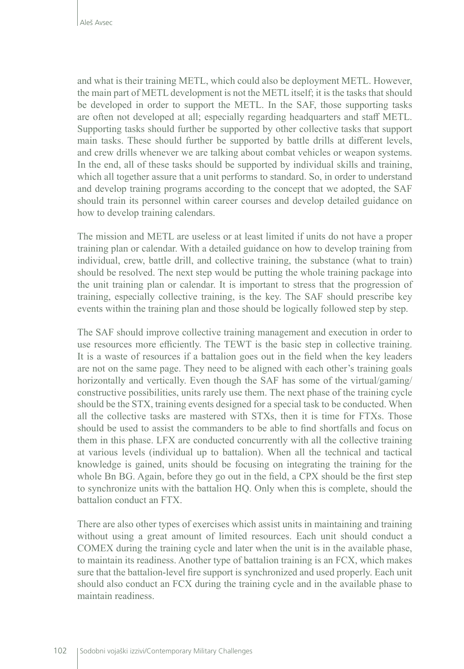and what is their training METL, which could also be deployment METL. However, the main part of METL development is not the METL itself; it is the tasks that should be developed in order to support the METL. In the SAF, those supporting tasks are often not developed at all; especially regarding headquarters and staff METL. Supporting tasks should further be supported by other collective tasks that support main tasks. These should further be supported by battle drills at different levels, and crew drills whenever we are talking about combat vehicles or weapon systems. In the end, all of these tasks should be supported by individual skills and training, which all together assure that a unit performs to standard. So, in order to understand and develop training programs according to the concept that we adopted, the SAF should train its personnel within career courses and develop detailed guidance on how to develop training calendars.

The mission and METL are useless or at least limited if units do not have a proper training plan or calendar. With a detailed guidance on how to develop training from individual, crew, battle drill, and collective training, the substance (what to train) should be resolved. The next step would be putting the whole training package into the unit training plan or calendar. It is important to stress that the progression of training, especially collective training, is the key. The SAF should prescribe key events within the training plan and those should be logically followed step by step.

The SAF should improve collective training management and execution in order to use resources more efficiently. The TEWT is the basic step in collective training. It is a waste of resources if a battalion goes out in the field when the key leaders are not on the same page. They need to be aligned with each other's training goals horizontally and vertically. Even though the SAF has some of the virtual/gaming/ constructive possibilities, units rarely use them. The next phase of the training cycle should be the STX, training events designed for a special task to be conducted. When all the collective tasks are mastered with STXs, then it is time for FTXs. Those should be used to assist the commanders to be able to find shortfalls and focus on them in this phase. LFX are conducted concurrently with all the collective training at various levels (individual up to battalion). When all the technical and tactical knowledge is gained, units should be focusing on integrating the training for the whole Bn BG. Again, before they go out in the field, a CPX should be the first step to synchronize units with the battalion HQ. Only when this is complete, should the battalion conduct an FTX.

There are also other types of exercises which assist units in maintaining and training without using a great amount of limited resources. Each unit should conduct a COMEX during the training cycle and later when the unit is in the available phase, to maintain its readiness. Another type of battalion training is an FCX, which makes sure that the battalion-level fire support is synchronized and used properly. Each unit should also conduct an FCX during the training cycle and in the available phase to maintain readiness.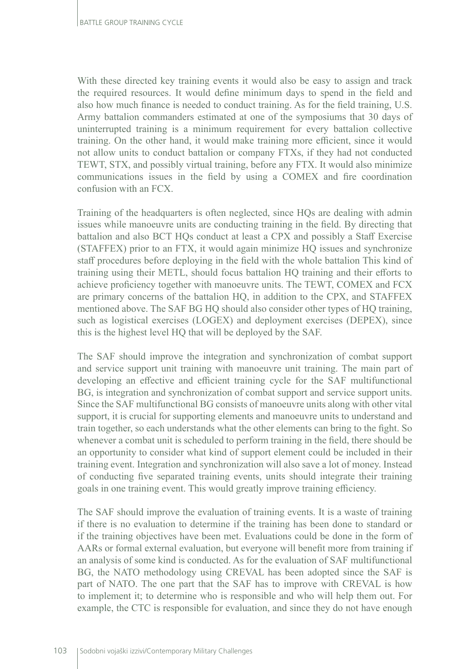With these directed key training events it would also be easy to assign and track the required resources. It would define minimum days to spend in the field and also how much finance is needed to conduct training. As for the field training, U.S. Army battalion commanders estimated at one of the symposiums that 30 days of uninterrupted training is a minimum requirement for every battalion collective training. On the other hand, it would make training more efficient, since it would not allow units to conduct battalion or company FTXs, if they had not conducted TEWT, STX, and possibly virtual training, before any FTX. It would also minimize communications issues in the field by using a COMEX and fire coordination confusion with an FCX.

Training of the headquarters is often neglected, since HQs are dealing with admin issues while manoeuvre units are conducting training in the field. By directing that battalion and also BCT HQs conduct at least a CPX and possibly a Staff Exercise (STAFFEX) prior to an FTX, it would again minimize HQ issues and synchronize staff procedures before deploying in the field with the whole battalion This kind of training using their METL, should focus battalion HQ training and their efforts to achieve proficiency together with manoeuvre units. The TEWT, COMEX and FCX are primary concerns of the battalion HQ, in addition to the CPX, and STAFFEX mentioned above. The SAF BG HQ should also consider other types of HQ training, such as logistical exercises (LOGEX) and deployment exercises (DEPEX), since this is the highest level HQ that will be deployed by the SAF.

The SAF should improve the integration and synchronization of combat support and service support unit training with manoeuvre unit training. The main part of developing an effective and efficient training cycle for the SAF multifunctional BG, is integration and synchronization of combat support and service support units. Since the SAF multifunctional BG consists of manoeuvre units along with other vital support, it is crucial for supporting elements and manoeuvre units to understand and train together, so each understands what the other elements can bring to the fight. So whenever a combat unit is scheduled to perform training in the field, there should be an opportunity to consider what kind of support element could be included in their training event. Integration and synchronization will also save a lot of money. Instead of conducting five separated training events, units should integrate their training goals in one training event. This would greatly improve training efficiency.

The SAF should improve the evaluation of training events. It is a waste of training if there is no evaluation to determine if the training has been done to standard or if the training objectives have been met. Evaluations could be done in the form of AARs or formal external evaluation, but everyone will benefit more from training if an analysis of some kind is conducted. As for the evaluation of SAF multifunctional BG, the NATO methodology using CREVAL has been adopted since the SAF is part of NATO. The one part that the SAF has to improve with CREVAL is how to implement it; to determine who is responsible and who will help them out. For example, the CTC is responsible for evaluation, and since they do not have enough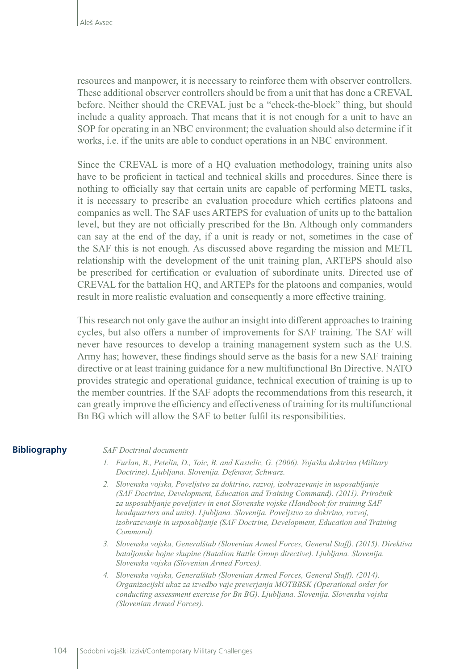resources and manpower, it is necessary to reinforce them with observer controllers. These additional observer controllers should be from a unit that has done a CREVAL before. Neither should the CREVAL just be a "check-the-block" thing, but should include a quality approach. That means that it is not enough for a unit to have an SOP for operating in an NBC environment; the evaluation should also determine if it works, i.e. if the units are able to conduct operations in an NBC environment.

Since the CREVAL is more of a HQ evaluation methodology, training units also have to be proficient in tactical and technical skills and procedures. Since there is nothing to officially say that certain units are capable of performing METL tasks, it is necessary to prescribe an evaluation procedure which certifies platoons and companies as well. The SAF uses ARTEPS for evaluation of units up to the battalion level, but they are not officially prescribed for the Bn. Although only commanders can say at the end of the day, if a unit is ready or not, sometimes in the case of the SAF this is not enough. As discussed above regarding the mission and METL relationship with the development of the unit training plan, ARTEPS should also be prescribed for certification or evaluation of subordinate units. Directed use of CREVAL for the battalion HQ, and ARTEPs for the platoons and companies, would result in more realistic evaluation and consequently a more effective training.

This research not only gave the author an insight into different approaches to training cycles, but also offers a number of improvements for SAF training. The SAF will never have resources to develop a training management system such as the U.S. Army has; however, these findings should serve as the basis for a new SAF training directive or at least training guidance for a new multifunctional Bn Directive. NATO provides strategic and operational guidance, technical execution of training is up to the member countries. If the SAF adopts the recommendations from this research, it can greatly improve the efficiency and effectiveness of training for its multifunctional Bn BG which will allow the SAF to better fulfil its responsibilities.

### **Bibliography**

#### *SAF Doctrinal documents*

- *1. Furlan, B., Petelin, D., Toic, B. and Kastelic, G. (2006). Vojaška doktrina (Military Doctrine). Ljubljana. Slovenija. Defensor, Schwarz.*
- *2. Slovenska vojska, Poveljstvo za doktrino, razvoj, izobrazevanje in usposabljanje (SAF Doctrine, Development, Education and Training Command). (2011). Priročnik za usposabljanje poveljstev in enot Slovenske vojske (Handbook for training SAF headquarters and units). Ljubljana. Slovenija. Poveljstvo za doktrino, razvoj, izobrazevanje in usposabljanje (SAF Doctrine, Development, Education and Training Command).*
- *3. Slovenska vojska, Generalštab (Slovenian Armed Forces, General Staff). (2015). Direktiva bataljonske bojne skupine (Batalion Battle Group directive). Ljubljana. Slovenija. Slovenska vojska (Slovenian Armed Forces).*
- *4. Slovenska vojska, Generalštab (Slovenian Armed Forces, General Staff). (2014). Organizacijski ukaz za izvedbo vaje preverjanja MOTBBSK (Operational order for conducting assessment exercise for Bn BG). Ljubljana. Slovenija. Slovenska vojska (Slovenian Armed Forces).*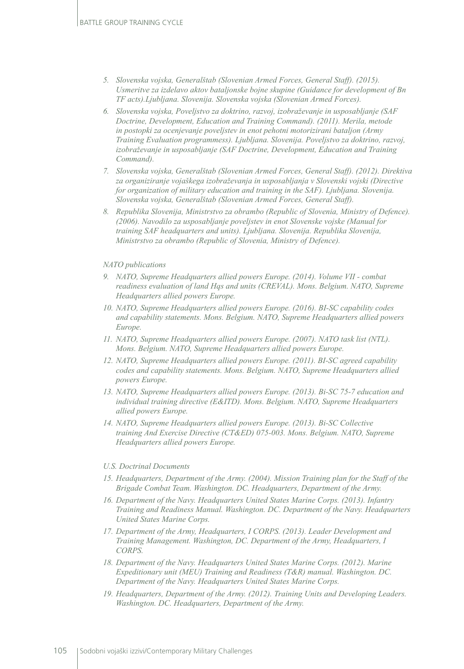- *5. Slovenska vojska, Generalštab (Slovenian Armed Forces, General Staff). (2015). Usmeritve za izdelavo aktov bataljonske bojne skupine (Guidance for development of Bn TF acts).Ljubljana. Slovenija. Slovenska vojska (Slovenian Armed Forces).*
- *6. Slovenska vojska, Poveljstvo za doktrino, razvoj, izobraževanje in usposabljanje (SAF Doctrine, Development, Education and Training Command). (2011). Merila, metode in postopki za ocenjevanje poveljstev in enot pehotni motorizirani bataljon (Army Training Evaluation programmess). Ljubljana. Slovenija. Poveljstvo za doktrino, razvoj, izobraževanje in usposabljanje (SAF Doctrine, Development, Education and Training Command).*
- *7. Slovenska vojska, Generalštab (Slovenian Armed Forces, General Staff). (2012). Direktiva za organiziranje vojaškega izobraževanja in usposabljanja v Slovenski vojski (Directive for organization of military education and training in the SAF). Ljubljana. Slovenija. Slovenska vojska, Generalštab (Slovenian Armed Forces, General Staff).*
- *8. Republika Slovenija, Ministrstvo za obrambo (Republic of Slovenia, Ministry of Defence). (2006). Navodilo za usposabljanje poveljstev in enot Slovenske vojske (Manual for training SAF headquarters and units). Ljubljana. Slovenija. Republika Slovenija, Ministrstvo za obrambo (Republic of Slovenia, Ministry of Defence).*

#### *NATO publications*

- *9. NATO, Supreme Headquarters allied powers Europe. (2014). Volume VII combat readiness evaluation of land Hqs and units (CREVAL). Mons. Belgium. NATO, Supreme Headquarters allied powers Europe.*
- *10. NATO, Supreme Headquarters allied powers Europe. (2016). BI-SC capability codes and capability statements. Mons. Belgium. NATO, Supreme Headquarters allied powers Europe.*
- *11. NATO, Supreme Headquarters allied powers Europe. (2007). NATO task list (NTL). Mons. Belgium. NATO, Supreme Headquarters allied powers Europe.*
- *12. NATO, Supreme Headquarters allied powers Europe. (2011). BI-SC agreed capability codes and capability statements. Mons. Belgium. NATO, Supreme Headquarters allied powers Europe.*
- *13. NATO, Supreme Headquarters allied powers Europe. (2013). Bi-SC 75-7 education and individual training directive (E&ITD). Mons. Belgium. NATO, Supreme Headquarters allied powers Europe.*
- *14. NATO, Supreme Headquarters allied powers Europe. (2013). Bi-SC Collective training And Exercise Directive (CT&ED) 075-003. Mons. Belgium. NATO, Supreme Headquarters allied powers Europe.*

#### *U.S. Doctrinal Documents*

- *15. Headquarters, Department of the Army. (2004). Mission Training plan for the Staff of the Brigade Combat Team. Washington. DC. Headquarters, Department of the Army.*
- *16. Department of the Navy. Headquarters United States Marine Corps. (2013). Infantry Training and Readiness Manual. Washington. DC. Department of the Navy. Headquarters United States Marine Corps.*
- *17. Department of the Army, Headquarters, I CORPS. (2013). Leader Development and Training Management. Washington, DC. Department of the Army, Headquarters, I CORPS.*
- *18. Department of the Navy. Headquarters United States Marine Corps. (2012). Marine Expeditionary unit (MEU) Training and Readiness (T&R) manual. Washington. DC. Department of the Navy. Headquarters United States Marine Corps.*
- *19. Headquarters, Department of the Army. (2012). Training Units and Developing Leaders. Washington. DC. Headquarters, Department of the Army.*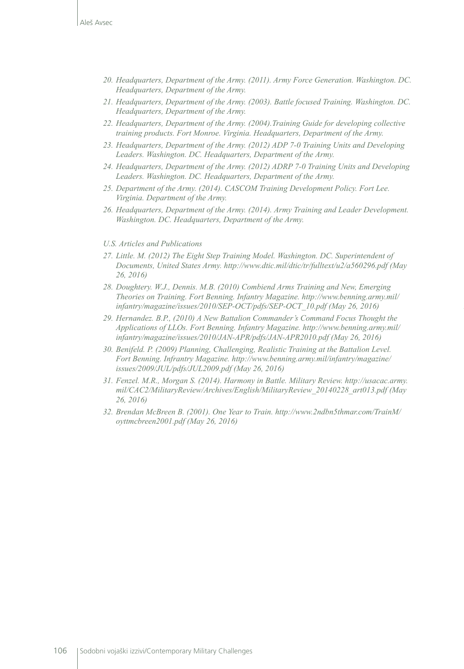- *20. Headquarters, Department of the Army. (2011). Army Force Generation. Washington. DC. Headquarters, Department of the Army.*
- *21. Headquarters, Department of the Army. (2003). Battle focused Training. Washington. DC. Headquarters, Department of the Army.*
- *22. Headquarters, Department of the Army. (2004).Training Guide for developing collective training products. Fort Monroe. Virginia. Headquarters, Department of the Army.*
- *23. Headquarters, Department of the Army. (2012) ADP 7-0 Training Units and Developing Leaders. Washington. DC. Headquarters, Department of the Army.*
- *24. Headquarters, Department of the Army. (2012) ADRP 7-0 Training Units and Developing Leaders. Washington. DC. Headquarters, Department of the Army.*
- *25. Department of the Army. (2014). CASCOM Training Development Policy. Fort Lee. Virginia. Department of the Army.*
- *26. Headquarters, Department of the Army. (2014). Army Training and Leader Development. Washington. DC. Headquarters, Department of the Army.*

#### *U.S. Articles and Publications*

- *27. Little. M. (2012) The Eight Step Training Model. Washington. DC. Superintendent of Documents, United States Army.<http://www.dtic.mil/dtic/tr/fulltext/u2/a560296.pdf> (May 26, 2016)*
- *28. Doughtery. W.J., Dennis. M.B. (2010) Combiend Arms Training and New, Emerging Theories on Training. Fort Benning. Infantry Magazine. [http://www.benning.army.mil/](http://www.benning.army.mil/infantry/magazine/issues/2010/SEP-OCT/pdfs/SEP-OCT_10.pdf) [infantry/magazine/issues/2010/SEP-OCT/pdfs/SEP-OCT\\_10.pdf](http://www.benning.army.mil/infantry/magazine/issues/2010/SEP-OCT/pdfs/SEP-OCT_10.pdf) (May 26, 2016)*
- *29. Hernandez. B.P., (2010) A New Battalion Commander's Command Focus Thought the Applications of LLOs. Fort Benning. Infantry Magazine. [http://www.benning.army.mil/](http://www.benning.army.mil/infantry/magazine/issues/2010/JAN-APR/pdfs/JAN-APR2010.pdf) [infantry/magazine/issues/2010/JAN-APR/pdfs/JAN-APR2010.pdf](http://www.benning.army.mil/infantry/magazine/issues/2010/JAN-APR/pdfs/JAN-APR2010.pdf) (May 26, 2016)*
- *30. Benifeld. P. (2009) Planning, Challenging, Realistic Training at the Battalion Level. Fort Benning. Infrantry Magazine. [http://www.benning.army.mil/infantry/magazine/](http://www.benning.army.mil/infantry/magazine/issues/2009/JUL/pdfs/JUL2009.pdf) [issues/2009/JUL/pdfs/JUL2009.pdf](http://www.benning.army.mil/infantry/magazine/issues/2009/JUL/pdfs/JUL2009.pdf) (May 26, 2016)*
- *31. Fenzel. M.R., Morgan S. (2014). Harmony in Battle. Military Review. [http://usacac.army.](http://usacac.army.mil/CAC2/MilitaryReview/Archives/English/MilitaryReview_20140228_art013.pdf) [mil/CAC2/MilitaryReview/Archives/English/MilitaryReview\\_20140228\\_art013.pdf](http://usacac.army.mil/CAC2/MilitaryReview/Archives/English/MilitaryReview_20140228_art013.pdf) (May 26, 2016)*
- *32. Brendan McBreen B. (2001). One Year to Train. [http://www.2ndbn5thmar.com/TrainM/](http://www.2ndbn5thmar.com/TrainM/oyttmcbreen2001.pdf) [oyttmcbreen2001.pdf](http://www.2ndbn5thmar.com/TrainM/oyttmcbreen2001.pdf) (May 26, 2016)*